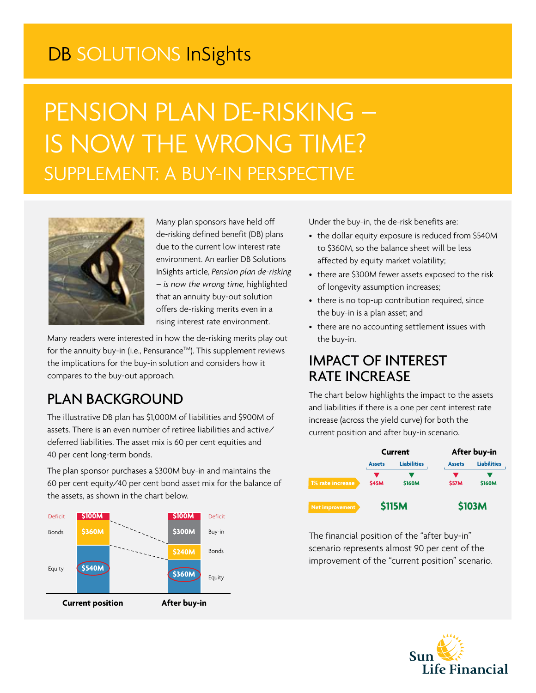## DB SOLUTIONS InSights

# PENSION PLAN DE-RISKING – IS NOW THE WRONG TIME? SUPPLEMENT: A BUY-IN PERSPECTIVE



Many plan sponsors have held off de-risking defined benefit (DB) plans due to the current low interest rate environment. An earlier DB Solutions InSights article, *Pension plan de-risking – is now the wrong time,* highlighted that an annuity buy-out solution offers de-risking merits even in a rising interest rate environment.

Many readers were interested in how the de-risking merits play out for the annuity buy-in (i.e., Pensurance™). This supplement reviews the implications for the buy-in solution and considers how it compares to the buy-out approach.

### PLAN BACKGROUND

The illustrative DB plan has \$1,000M of liabilities and \$900M of assets. There is an even number of retiree liabilities and active/ deferred liabilities. The asset mix is 60 per cent equities and 40 per cent long-term bonds.

The plan sponsor purchases a \$300M buy-in and maintains the 60 per cent equity/40 per cent bond asset mix for the balance of the assets, as shown in the chart below.



Under the buy-in, the de-risk benefits are:

- the dollar equity exposure is reduced from \$540M to \$360M, so the balance sheet will be less affected by equity market volatility;
- there are \$300M fewer assets exposed to the risk of longevity assumption increases;
- there is no top-up contribution required, since the buy-in is a plan asset; and
- there are no accounting settlement issues with the buy-in.

#### IMPACT OF INTEREST RATE INCREASE

The chart below highlights the impact to the assets and liabilities if there is a one per cent interest rate increase (across the yield curve) for both the current position and after buy-in scenario.

|                  | Current       |                    | After buy-in  |                    |
|------------------|---------------|--------------------|---------------|--------------------|
|                  | <b>Assets</b> | <b>Liabilities</b> | <b>Assets</b> | <b>Liabilities</b> |
| 1% rate increase | <b>\$45M</b>  | <b>\$160M</b>      | <b>S57M</b>   | <b>\$160M</b>      |
| Net improvement  | <b>\$115M</b> |                    | <b>\$103M</b> |                    |

The financial position of the "after buy-in" scenario represents almost 90 per cent of the improvement of the "current position" scenario.